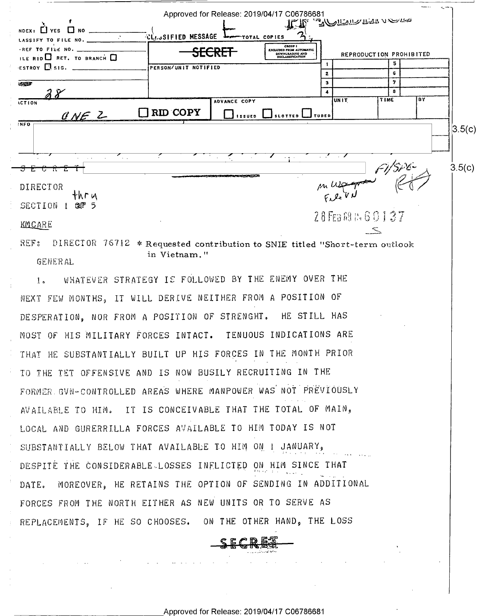Approved for Release: 2019/04/17 C06786681 <u>Mollally that</u> verte  $T_{\rm C}T_{\rm R}$  $\Box$  YES  $\Box$  NO **CLUSIFIED MESSAGE**  $\ddot{\phantom{0}}$ TOTAL COPIES LASSIFY TO FILE NO. GROUP I FILE NO. S<del>ECRET-</del> DOWNURADING AND REPRODUCTION PROHIBITED  $RID$  RET. TO BRANCH  $\Box$ ์ร  $\mathbf{r}$  $\epsilon$ stroy  $\Box$  sig. PERSON/UNIT NOTIFIED  $\overline{\mathbf{z}}$  $\overline{6}$ 7  $\overline{\mathbf{3}}$ 10-103 ᠼ 78 BY UNIT **TIME** ADVANCE COPY **ICTION**  $\Box$  RID COPY CNE Z  $\Box$  issued  $\Box$  slotted  $\Box$  tubed  $\overline{N}$ FO  $3.5(c)$ Z.,  $3.5(c)$ **DIRECTOR** thru SECTION 1 287 5 28FE381160137 KMCARE REF: DIRECTOR 76712 \* Requested contribution to SNIE titled "Short-term outlook in Vietnam." **GENERAL** WHATEVER STRATEGY IS FOLLOWED BY THE ENEMY OVER THE  $\mathbf{1}_{\mathbf{a}}$ NEXT FEW MONTHS, IT WILL DERIVE NEITHER FROM A POSITION OF DESPERATION, NOR FROM A POSITION OF STRENGHT. HE STILL HAS MOST OF HIS MILITARY FORCES INTACT. TENUOUS INDICATIONS ARE THAT HE SUBSTANTIALLY BUILT UP HIS FORCES IN THE MONTH PRIOR TO THE TET OFFENSIVE AND IS NOW BUSILY RECRUITING IN THE FORMER GVN-CONTROLLED AREAS WHERE MANPOWER WAS NOT PREVIOUSLY AVAILABLE TO HIM. IT IS CONCEIVABLE THAT THE TOTAL OF MAIN, LOCAL AND GURERRILLA FORCES AVAILABLE TO HIM TODAY IS NOT SUBSTANTIALLY BELOW THAT AVAILABLE TO HIM ON I JANUARY, DESPITE THE CONSIDERABLE LOSSES INFLICTED ON HIM SINCE THAT MOREOVER, HE RETAINS THE OPTION OF SENDING IN ADDITIONAL DATE. FORCES FROM THE NORTH EITHER AS NEW UNITS OR TO SERVE AS REPLACEMENTS, IF HE SO CHOOSES. ON THE OTHER HAND, THE LOSS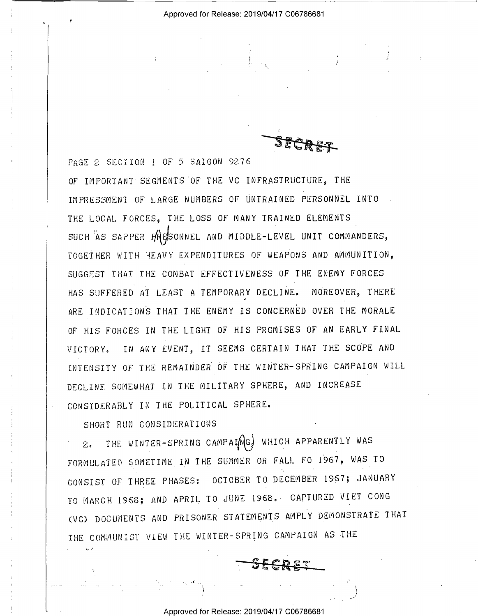e.

5" -1- ' '~, M "\* FA: \*7 \_\_,. =.,,, L - -;\_. \_V ; "- av .' ' , Fa

OF IMPORTANT SEGMENTS OF THE VC INFRASTRUCTURE, THE PAGE 2 SECTION 1 OF 5 SAIGON 9276

Y

IMPRESSMENT OF LARGE NUMBERS OF UNTRAINED PERSONNEL INTO THE LOCAL FORCES, THE LOSS OF MANY TRAINED ELEMENTS SUCH AS SAPPER PRESONNEL AND MIDDLE-LEVEL UNIT COMMANDERS, TOGETHER NITH HEAVY EXPENDITURES OF WEAPONS AND AMMUNITION, SUGGEST THAT THE COMBAT EFFECTIVENESS OF THE ENEMY FORCES HAS SUFFERED AT LEAST A TEMPORARY DECLINE. MOREOVER, THERE ARE INDICATIONS THAT THE ENEMY IS CONCERNED OVER THE MORALE OF HIS FORCES IN THE LIGHT OF HIS PROMISES OF AN EARLY FINAL VICTORY. IN ANY EVENT, IT SEEMS CERTAIN THAT THE SCOPE AND INTENSITY OF THE REMAINDER 0? THE WINTER—SPRING CAMPAIGN WILL DECLINE SOMENHAT IN THE MILITARY SPHERE, AND INCREASE CONSIDERABLY IN THE POLITICAL SPHERE.

SHORT RUN CONSIDERATIONS

. .,. 1

' 2. THE WINTER-SPRING CAMPAINGS WHICH APPARENTLY WAS FORMULATED 5OMETIME\_IN THE SUMMER OR FALL FO I967, WAS TO CONSIST OF THREE PHASES: OCTOBER TO DECEMBER 1967; JANUARY TO MARCH 1968; AND APRIL TO JUNE 1968.~ CAPTURED VIET CONG (VC) DOCUMENTS AND PRISONER STATEMENTS AMPLY DEMONSTRATE THAT THE COMMUNIST VIEW THE WINTER-SPRING CAMPAIGN AS THE

Approved for Release: 2019/04/17 CO6786681

\_\_ . .1» <sup>g</sup>~ » "-\*7. ' \_.v

. .

\_ -F-I mm .

 $\mathcal{L} = \mathcal{L} \times \mathcal{L}$ 

-I,' . . \_ \_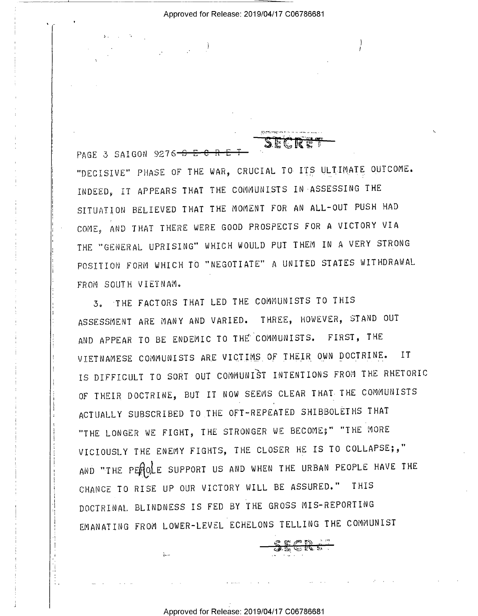)

1

PAGE 3 SAIGON 9276- $S$  E-C R E

"DECISIVE" PHASE OF THE WAR, CRUCIAL TO ITS ULTIMATE ourcomz. INDEED, IT APPEARS THAT THE COMMUNISTS IN-ASSESSING THE SITUATION BELIEVED THAT THE MOMENT FOR AN ALL-OUT PUSH HAD COME, AND THAT THERE WERE GOOD PROSPECTS FOR A VICTORY VIA THE "GENERAL UPRISING" NHICH NOULD PUT THEM IN A VERY STRONG POSITION FORM WHICH TO "NEGOTIATE" A UNITED STATES NITHDRANAL FROM SOUTH VIETNAM.

 $P_i$  . The intervals of  $P_i$  is the contract of  $P_i$  . If  $P_i$  is the contract of  $P_i$  is the contract of  $P_i$ 

SECRET

5. "THE FACTORS THAT LED THE COMMUNISTS TO THIS ASSESSMENT ARE MANY AND VARIED. THREE, HOWEVER, STAND OUT AND APPEAR TO BE ENDEMIC TO THE COMMUNISTS. FIRST, THE VIETNAMESE COMMUNISTS ARE VIQTINS OF THEIR QNN D0cIR1NE. IT IS DIFFICULT TO SORT our COMMUNIST INTENTIONS FROM THE RHETORIC OF THEIR DOCTRINE, BUT IT NOW SEEMS CLEAR THAT THE COMMUNISTS ACTUALLY SUBSCRIBED T0 THE OFT-REPEATED SHIBBOLETHS THAT "THE LONGER NE FIGHT, THE STRONGER NE BECOME;" "THE MORE VICIOUSLY THE ENEMY FIGHTS, THE CLOSER HE IS TO COLLAPSE;," AND "THE PEROLE SUPPORT US AND WHEN THE URBAN PEOPLE HAVE THE CHANCE TO RISE UP OUR VICTORY NILL BE ASSURED." THIS DOCTRINAL BLINDNESS IS FED BY THE GROSS MIS-REPORTING EMANATING FROM LOWER-LEVEL ECHELONS TELLING THE COMMUNIST

## Approved for Release: 2019/04/17 C06786681

The contract of the contract of the contract of the contract of the contract of the contract of the contract of the contract of the contract of the contract of the contract of the contract of the contract of the contract

<u>ඳ සණෙ බිය "</u> 5. U5. Eu .

J

 $\ddots$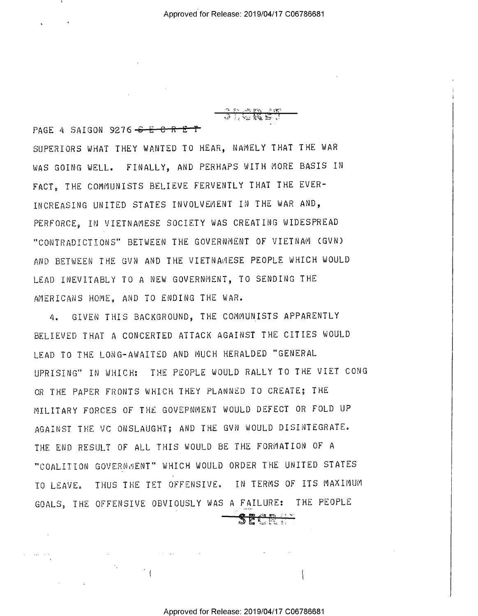;";";- 13 <del>(2</del> PAGE 4 SAIGON 9276 $-6$  $-6$  $-$ R $-6$  $-7$ SUPERIORS WHAT THEY WANTED TO HEAR, NAMELY THAT THE WAR WAS GOING WELL. FINALLY, AND PERHAPS WITH MORE BASIS IN FACT, THE COMMUNISTS BELIEVE FERVENTLY THAT THE EVER-INCREASING UNITED STATES INVOLVEMENT IN THE WAR AND, PERFORCE, IN VIETNAMESE SOCIETY WAS CREATING WIDESPREAD "CONTRADICTIONS" BETWEEN THE GOVERNMENT OF VIETNAM (GVN) AND BETWEEN THE GVN AND THE VIETNAMESE PEOPLE WHICH WOULD LEAD INEVITABLY TO A NEW GOVERNMENT, TO SENDING THE AMERICANS HOME, AND TO ENDING THE WAR.

4. GIVEN THIS BACKGROUND, THE COMMUNISTS APPARENTLY BELIEVED THAT A CONCERTED ATTACK AGAINST THE CITIES WOULD LEAD TO THE LONG~AWAITED AND MUCH HERALDED "GENERAL UPRISING" IN WHICH: THE PEOPLE WOULD RALLY TO THE VIET CONG OR THE PAPER FRONTS WHICH THEY PLANNED TO CREATE; THE MILITARY FORCES OF THE GOVERNMENT WOULD DEFECT OR FOLD UP AGAINST THE VC ONSLAUGHT; AND THE GVN WOULD DISINTEGRATE. THE END RESULT OF ALL THIS WOULD BE THE FORMATION OF <sup>A</sup> "COALITION GOVERNMENT" WHICH WOULD ORDER THE UNITED STATES TO LEAVE. THUS THE TET OFFENSIVE. IN TERMS OF ITS MAXIMUM GOALS, THE OFFENSIVE OBVIOUSLY WAS A FAILURE: THE PEOPLE

 $\mathcal{O}(\log n)$  . The same  $\mathcal{O}(\log n)$  is the same  $\mathcal{O}(\log n)$ 

 $2 \, \mathsf{E} \subset \mathbb{N}$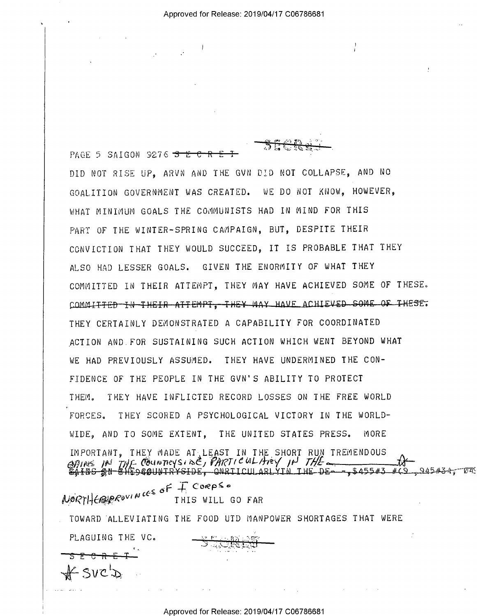)

.13 -tr.'

ক

PAGE 5 SAIGON 9276  $\overline{S}$   $\overline{E}$   $\overline{C}$   $\overline{R}$   $\overline{E}$ 

 $SUC$ 

DID NOT RISE UP, ARVN AND THE GVN DID NOT COLLAPSE, AND NO GOALITION GOVERNMENT WAS CREATED. WE DO NOT KNOW, HOWEVER, WHAT MINIMUM GOALS THE COMMUNISTS HAD IN MIND FOR THIS PART OF THE WINTER-SPRING CAMPAIGN, BUT, DESPITE THEIR CONVICTION THAT THEY WOULD SUCCEED, IT IS PROBABLE THAT THEY ALSO HAD LESSER GOALS. GIVEN THE ENORMITY OF WHAT THEY COMMITTED IN THEIR ATTEMPT, THEY MAY HAVE ACHIEVED SOME OF THESE. COMMITTED IN THEIR ATTEMPT. THEY MAY HAVE ACHIEVED SOME OF THESE. THEY CERTAINLY DEMONSTRATED A CAPABILITY FOR COORDINATED ACTION AND.FOR SUSTAINING SUCH ACTION WHICH WENT BEYOND WHAT WE HAD PREVIOUSLY ASSUMED. THEY HAVE UNDERMINED THE CON-FIDENCE OF THE PEOPLE IN THE GVN'S ABILITY T0 PROTECT THEM. THEY HAVE INFLICTED RECORD LOSSES ON THE FREE WORLD FORCES. THEY SCORED A PSYCHOLOGICAL VICTORY IN THE WORLD-WIDE, AND TO SOME EXTENT, THE UNITED STATES PRESS. MORE IMPORTANT, THEY MADE AT LEAST IN THE SHORT RUN TREMENDOUS 9/;;/VS /PM 77- f- 0'éiu~'rv¢~(s~§.é§/ f'/)1?T/@W»/Jv?"'~/ /H '/79/[- <sup>I</sup>\$A%%S1&N— " D ' \ EASE»-=T\$455#5\_#49.¢SA5#éA7~Em§ .5-1 I' Coepia A' . . A8 ° ~ §I{.¢9(~?TI-I€\$€;',f?e"V'N' THIS WILL so FAR

TOWARD ALLEVIATING THE FOOD UTD MANPOWER SHORTAGES THAT WERE PLAGUING THE VC.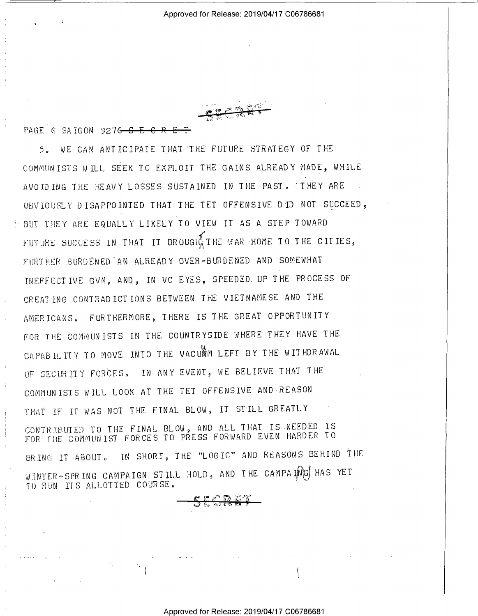PAGE 6 SAIGON 9276 S E

5. WE CAN ANTICIPATE THAT THE FUTURE STRATEGY OF THE COMMUNISTS WILL SEEK TO EXPLOIT THE GAINS ALREADY MADE, WHILE AVOIDING THE HEAVY LOSSES SUSTAINED IN THE PAST. THEY ARE OBVIOUSLY DISAPPOINTED THAT THE TET OFFENSIVE DID NOT SUCCEED, BUT THEY ARE EQUALLY LIKELY TO VIEW IT AS A STEP TOWARD FUTURE SUCCESS IN THAT IT BROUGHT THE WAR HOME TO THE CITIES, FURTHER BURDENED AN ALREADY OVER-BURDENED AND SOMEWHAT INEFFECTIVE GVN, AND, IN VC EYES, SPEEDED UP THE PROCESS OF CREATING CONTRADICTIONS BETWEEN THE VIETNAMESE AND THE AMERICANS. FURTHERMORE, THERE IS THE GREAT OPPORTUNITY FOR THE COMMUNISTS IN THE COUNTRYSIDE WHERE THEY HAVE THE CAPABILITY TO MOVE INTO THE VACUAM LEFT BY THE WITHDRAWAL OF SECURITY FORCES. IN ANY EVENT, WE BELIEVE THAT THE COMMUNISTS WILL LOOK AT THE TET OFFENSIVE AND REASON THAT IF IT WAS NOT THE FINAL BLOW, IT STILL GREATLY CONTRIBUTED TO THE FINAL BLOW, AND ALL THAT IS NEEDED IS<br>FOR THE COMMUNIST FORCES TO PRESS FORWARD EVEN HARDER TO BRING IT ABOUT. IN SHORT, THE "LOGIC" AND REASONS BEHIND THE WINTER-SPRING CAMPAIGN STILL HOLD, AND THE CAMPAING HAS YET TO RUN ITS ALLOTTED COURSE.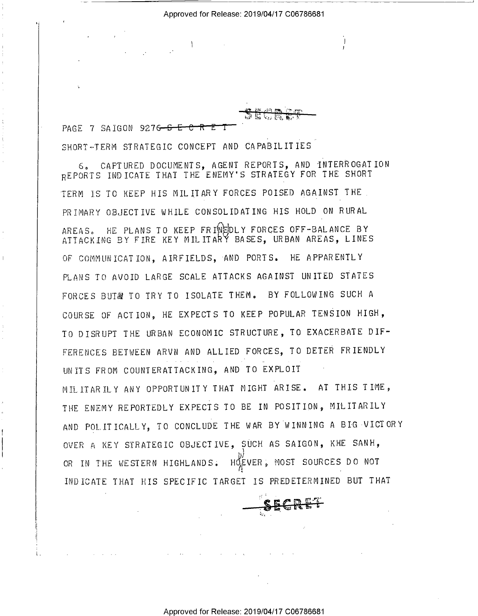$\mathcal{L}^{\infty}$  is  $\mathcal{L}^{\infty}$ 

I

PAGE 7 SAIGON 9276- $S-E-C-R-E-T$ SHORT=TERM STRATEGIC CONCEPT AND CAPABILITIES

I 1980 - Participation and the control of the control of the control of the control of the control of the control of

6, CAPTURED DOCUMENTS, AGENT REPORTS, AND INTERROGATION REPORTS INDICATE THAT THE ENEMY'S STRATEGY FOR THE SHORT TERM IS TO KEEP HIS MILITARY FORCES POISED AGAINST THE PRIMARY OBJECTIVE WHILE CONSOLIDATING HIS HOLD ON RURAL AREAS. HE PLANS TO KEEP FRIWEDLY FORCES OFF-BALANCE BY ATTACKING BY FIRE KEY MILITARY BASES, URBAN AREAS, LINES OF COMMUNICATION, AIRFIELDS, AND PORTS. HE APPARENTLY PLANS TO AVOID LARGE SCALE ATTACKS AGAINST UNITED STATES FORCES BUT& TO TRY TO ISOLATE THEM. BY FOLLOWING SUCH A COURSE OF ACTION, HE EXPECTS TO KEEP POPULAR TENSION HIGH, TO DISRUPT THE URBAN ECONOMIC STRUCTURE, TO EXACERBATE DIF- FERENCES BETWEEN ARVN AND ALLIED FORCES, TO DETER FRIENDLY UNITS FROM COUNTERATTACKING, AND TO EXPLOIT MILITARILY ANY OPPORTUNITY THAT NIGHT ARISE. AT THIS TIME, THE ENEMY REPORTEDLY EXPECTS TO BE IN POSITION, MILITARILY AND POLITICALLY, TO CONCLUDE THE WAR BY WINNING A BIG VICTORY OVER A KEY STRATEGIC OBJECTIVE, SUCH AS SAIGON, KHE SANH, W., OR IN THE WESTERN HIGHLANDS. HOSE VER, MOST SOURCES DO NOT INDICATE THAT HIS SPECIFIC TARGET IS PREDETERMINED BUT THAT

"

- 'F1 . The second control of the second control of the second control of the second control of the second control of the second control of the second control of the second control of the second control of the second contr

 $\sim$ "'  $\cdot$   $\bullet$   $\cdot$   $\cdot$   $\cdot$ 

 $\texttt{succ}\mapsto$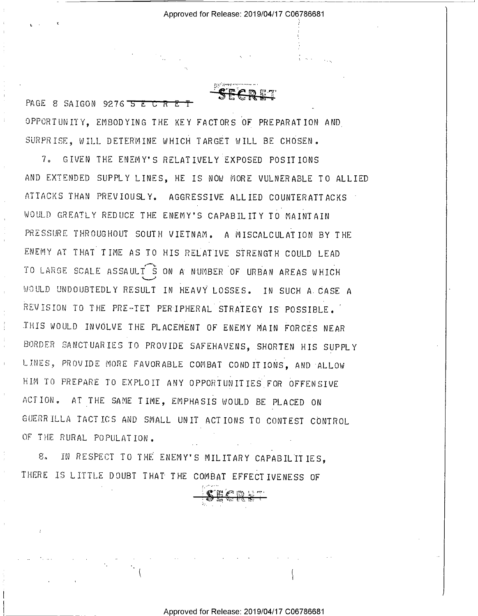PAGE 8 SAIGON 9276 5 E C R E T OPPORTUNITY, EMBODYING THE KEY FACTORS OF PREPARATION AND SURPRISE, WILL DETERMINE WHICH TARGET WILL BE CHOSEN.

7. GIVEN THE ENEMY'S RELATIVELY EXPOSED POSITIONS AND EXTENDED SUPPLY LINES, HE IS NOW MORE VULNERABLE TO ALLIED ATTACKS THAN PREVIOUSLY. AGGRESSIVE ALLIED COUNTERATTACKS WOULD GREATLY REDUCE THE ENEMY'S CAPABILITY TO MAINTAIN PRESSURE THROUGHOUT SOUTH VIETNAM. A MISCALCULATION BY THE ENEMY AT THAT TIME AS TO HIS RELATIVE STRENGTH COULD LEAD TO LARGE SCALE ASSAULT S ON A NUMBER OF URBAN AREAS WHICH WOULD UNDOUBTEDLY RESULT IN HEAVY LOSSES. IN SUCH A CASE A REVISION TO THE PRE-TET PERIPHERAL STRATEGY IS POSSIBLE. THIS WOULD INVOLVE THE PLACEMENT OF ENEMY MAIN FORCES NEAR BORDER SANCTUARIES TO PROVIDE SAFEHAVENS, SHORTEN HIS SUPPLY LINES, PROVIDE MORE FAVORABLE COMBAT CONDITIONS, AND ALLOW HIM TO PREPARE TO EXPLOIT ANY OPPORTUNITIES FOR OFFENSIVE ACTION. AT THE SAME TIME, EMPHASIS WOULD BE PLACED ON GUERRILLA TACTICS AND SMALL UNIT ACTIONS TO CONTEST CONTROL OF THE RURAL POPULATION.

IN RESPECT TO THE ENEMY'S MILITARY CAPABILITIES,  $8.$ THERE IS LITTLE DOUBT THAT THE COMBAT EFFECTIVENESS OF

Approved for Release: 2019/04/17 C06786681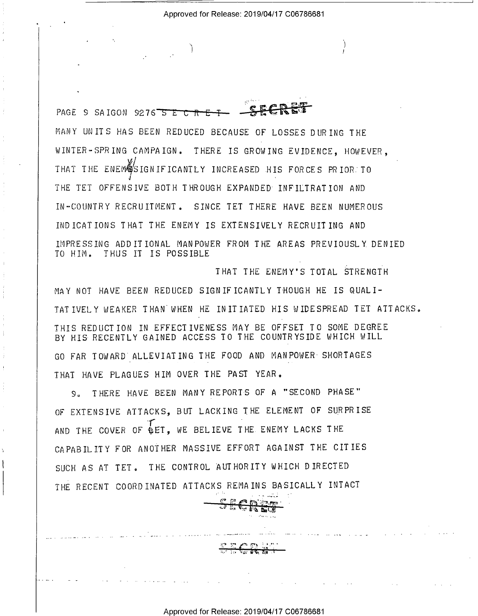PAGE 9 SAIGON 9276 5 E C R E T MANY UNITS HAS BEEN REDUCED BECAUSE OF LOSSES DURING THE WINTER-SPRING CAMPAIGN. THERE IS GROWING EVIDENCE, HOWEVER, THAT THE ENEMASIGNIFICANTLY INCREASED HIS FORCES PRIOR TO THE TET OFFENSIVE BOTH THROUGH EXPANDED INFILTRATION AND IN-COUNTRY RECRUITMENT. SINCE TET THERE HAVE BEEN NUMEROUS IND ICATIONS THAT THE ENEMY IS EXTENSIVELY RECRUITING AND IMPRESSING ADDITIONAL MANPOWER FROM THE AREAS PREVIOUSLY DENIED TO HIM. THUS IT IS POSSIBLE

THAT THE ENEMY'S TOTAL STRENGTH

MAY NOT HAVE BEEN REDUCED SIGNIFICANTLY THOUGH HE IS QUALI-TAT IVELY WEAKER THAN WHEN HE INITIATED HIS WIDESPREAD TET ATTACKS. THIS REDUCTION IN EFFECTIVENESS MAY BE OFFSET TO SOME DEGREE BY HIS RECENTLY GAINED ACCESS TO THE COUNTRYSIDE WHICH WILL GO FAR TOWARD ALLEVIATING THE FOOD AND MANPOWER SHORTAGES THAT HAVE PLAGUES HIM OVER THE PAST YEAR.

9. THERE HAVE BEEN MANY REPORTS OF A "SECOND PHASE" OF EXTENSIVE ATTACKS, BUT LACKING THE ELEMENT OF SURPRISE AND THE COVER OF **BET.** WE BELIEVE THE ENEMY LACKS THE CAPABILITY FOR ANOTHER MASSIVE EFFORT AGAINST THE CITIES SUCH AS AT TET. THE CONTROL AUTHORITY WHICH DIRECTED THE RECENT COORDINATED ATTACKS REMAINS BASICALLY INTACT

经经可通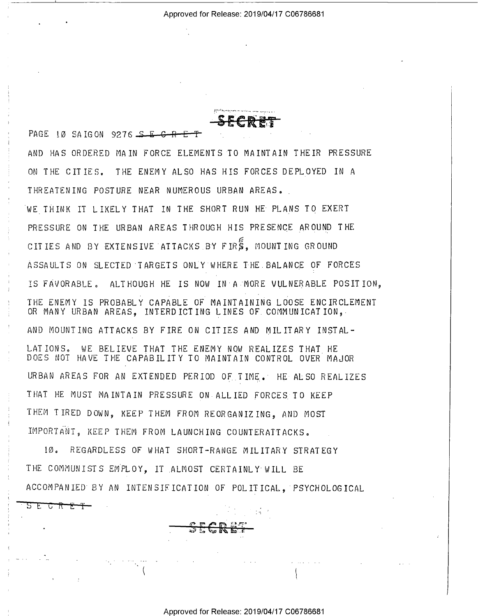PAGE 10 SAIGON 9276 SECRE AND HAS ORDERED MAIN FORCE ELEMENTS TO MAINTAIN THEIR PRESSURE ON THE CITIES. THE ENEMY ALSO HAS HIS FORCES DEPLOYED IN A THREATENING POSTURE NEAR NUMEROUS URBAN AREAS. WE THINK IT LIKELY THAT IN THE SHORT RUN HE PLANS TO EXERT PRESSURE ON THE URBAN AREAS THROUGH HIS PRESENCE AROUND THE CITIES AND BY EXTENSIVE ATTACKS BY FIRS. MOUNTING GROUND ASSAULTS ON SLECTED TARGETS ONLY WHERE THE BALANCE OF FORCES IS FAVORABLE, ALTHOUGH HE IS NOW IN A MORE VULNERABLE POSITION, THE ENEMY IS PROBABLY CAPABLE OF MAINTAINING LOOSE ENCIRCLEMENT OR MANY URBAN AREAS, INTERDICTING LINES OF COMMUNICATION, AND MOUNTING ATTACKS BY FIRE ON CITIES AND MILITARY INSTAL-WE BELIEVE THAT THE ENEMY NOW REALIZES THAT HE LATIONS. DOES NOT HAVE THE CAPABILITY TO MAINTAIN CONTROL OVER MAJOR URBAN AREAS FOR AN EXTENDED PERIOD OF TIME. HE ALSO REALIZES THAT HE MUST MAINTAIN PRESSURE ON ALLIED FORCES TO KEEP THEM TIRED DOWN, KEEP THEM FROM REORGANIZING, AND MOST IMPORTANT, KEEP THEM FROM LAUNCHING COUNTERATTACKS.

 $10<sub>a</sub>$ REGARDLESS OF WHAT SHORT-RANGE MILITARY STRATEGY THE COMMUNISTS EMPLOY, IT ALMOST CERTAINLY WILL BE ACCOMPANIED BY AN INTENSIFICATION OF POLITICAL, PSYCHOLOGICAL

<u>S E C R E T - </u>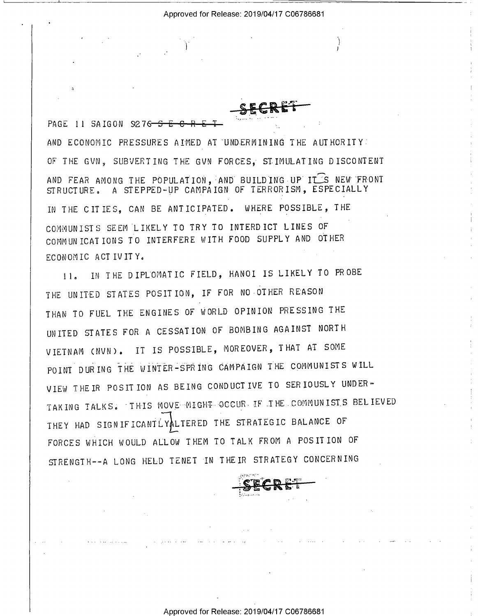PAGE 11 SAIGON 9276 5 AND ECONOMIC PRESSURES AIMED AT UNDERMINING THE AUTHORITY: OF THE GVN, SUBVERTING THE GVN FORCES. STIMULATING DISCONTENT AND FEAR AMONG THE POPULATION, AND BUILDING UP IT S NEW FRONT A STEPPED-UP CAMPAIGN OF TERRORISM, ESPECIALLY STRUCTURE. IN THE CITIES, CAN BE ANTICIPATED. WHERE POSSIBLE, THE COMMUNISTS SEEM LIKELY TO TRY TO INTERDICT LINES OF COMMUNICATIONS TO INTERFERE WITH FOOD SUPPLY AND OTHER ECONOMIC ACTIVITY.

IN THE DIPLOMATIC FIELD, HANOI IS LIKELY TO PROBE  $11<sub>0</sub>$ THE UNITED STATES POSITION, IF FOR NO OTHER REASON THAN TO FUEL THE ENGINES OF WORLD OPINION PRESSING THE UNITED STATES FOR A CESSATION OF BOMBING AGAINST NORTH VIETNAM (NVN). IT IS POSSIBLE, MOREOVER, THAT AT SOME POINT DURING THE WINTER-SPRING CAMPAIGN THE COMMUNISTS WILL VIEW THE IR POSITION AS BEING CONDUCTIVE TO SERIOUSLY UNDER-TAKING TALKS. THIS MOVE MIGHT OCCUR IF THE COMMUNISTS BELIEVED THEY HAD SIGNIFICANTLYALTERED THE STRATEGIC BALANCE OF FORCES WHICH WOULD ALLOW THEM TO TALK FROM A POSITION OF STRENGTH--A LONG HELD TENET IN THEIR STRATEGY CONCERNING

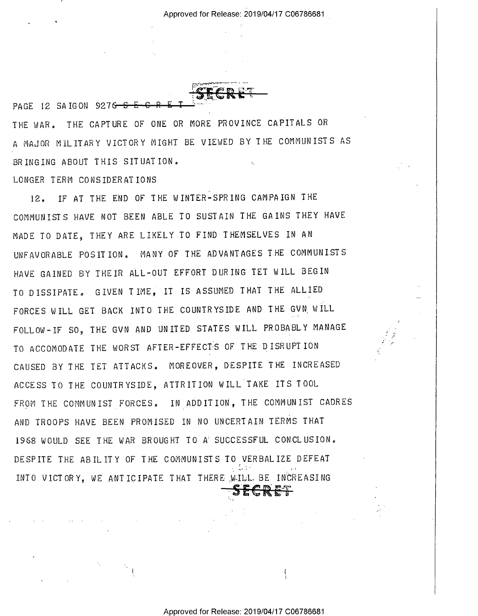$\mu$ ),  $\mu$  ,  $\mu$  ,  $\mu$  ,  $\mu$  ,  $\mu$  ,  $\mu$  ,  $\mu$  ,  $\mu$  ,  $\mu$  ,  $\mu$  ,  $\mu$  ,  $\mu$  ,  $\mu$  ,  $\mu$  ,  $\mu$  ,  $\mu$ ,.\_. .e. \_  $\Gamma$  1  $\sim$ W

THE WAR. THE CAPTURE OF ONE OR MORE PROVINCE CAPITALS OR <sup>A</sup>MAJOR MILITARY VICTORY MIGHT BE VIEWED BY THE COMMUNISTS AS BRINGING ABOUT THIS SITUATION. .

LONGER TERM CONSIDERATIONS

PAGE 12 SAIGON 9276 - 5 E-C

12. IF AT THE END OF THE WINTER—SPRING CAMPAIGN THE COMMUNISTS HAVE NOT BEEN ABLE TO SUSTAIN THE GAINS THEY HAVE MADE TO DATE, THEY ARE LIKELY TO FIND THEMSELVES IN AN UNFAVORABLE POSITION. MANY OF THE ADVANTAGES THE COMMUNISTS HAVE GAINED BY THEIR ALL-OUT EFFORT DURING TET WILL BEGIN TO DISSIPATE. GIVEN TIME, IT IS ASSUMED THAT THE ALLIED FORCES WILL GET BACK INTO THE COUNTRYSIDE AND THE GVN\_WILL FOLLOW—IF SO, THE GVN AND UNITED STATES WILL PROBABLY MANAGE TO ACCOMODATE THE WORST AFTER-EFFECTS OF THE DISRUPTION CAUSED BY THE TET ATTACKS. MOREOVER, DESPITE THE INCREASED ACCESS TO THE COUNTRYSIDE, ATTRITION WILL TAKE ITS TOOL FROM THE COMMUNIST FORCES. IN ADDITION, THE COMMUNIST CADRES AND TROOPS HAVE BEEN PROMISED IN NO UNCERTAIN TERMS THAT I968 WOULD SEE THE WAR BROUGHT TO A SUCCESSFUL CONCLUSION, DESPITE THE ABILITY OF THE COMMUNISTS TO VERBALIZE DEFEAT INTO VICTORY, we ANTICIPATE THAT THERE WlLL.BE INCREASING <u>-SECRET</u>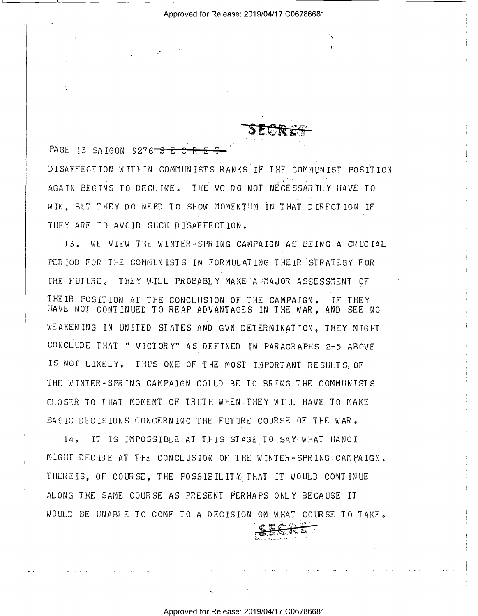PAGE 13 SAIGON 9276 5 E C R DISAFFECTION WITHIN COMMUNISTS RANKS IF THE COMMUNIST POSITION AGAIN BEGINS TO DECLINE. THE VC DO NOT NECESSARILY HAVE TO WIN. BUT THEY DO NEED TO SHOW MOMENTUM IN THAT DIRECTION IF THEY ARE TO AVOID SUCH DISAFFECTION.

13. WE VIEW THE WINTER-SPRING CAMPAIGN AS BEING A CRUCIAL PERIOD FOR THE COMMUNISTS IN FORMULATING THEIR STRATEGY FOR THE FUTURE. THEY WILL PROBABLY MAKE A MAJOR ASSESSMENT OF THEIR POSITION AT THE CONCLUSION OF THE CAMPAIGN. IF THEY HAVE NOT CONTINUED TO REAP ADVANTAGES IN THE WAR. AND SEE NO WEAKENING IN UNITED STATES AND GVN DETERMINATION, THEY MIGHT CONCLUDE THAT " VICTORY" AS DEFINED IN PARAGRAPHS 2-5 ABOVE IS NOT LIKELY. THUS ONE OF THE MOST IMPORTANT RESULTS OF THE WINTER-SPRING CAMPAIGN COULD BE TO BRING THE COMMUNISTS CLOSER TO THAT MOMENT OF TRUTH WHEN THEY WILL HAVE TO MAKE BASIC DECISIONS CONCERNING THE FUTURE COURSE OF THE WAR.

14. IT IS IMPOSSIBLE AT THIS STAGE TO SAY WHAT HANOI MIGHT DECIDE AT THE CONCLUSION OF THE WINTER-SPRING CAMPAIGN. THEREIS, OF COURSE, THE POSSIBILITY THAT IT WOULD CONTINUE ALONG THE SAME COURSE AS PRESENT PERHAPS ONLY BECAUSE IT WOULD BE UNABLE TO COME TO A DECISION ON WHAT COURSE TO TAKE.

Approved for Release: 2019/04/17 C06786681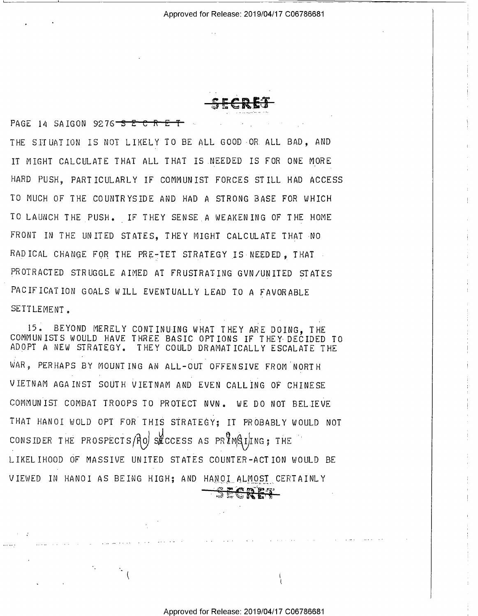. . *.* . . . . - -» <sup>1</sup>

PAGE 14 SAIGON 9276<sup> $-$ </sup>S $E$ <sup> $-$ </sup>C<sub>n</sub> $E$ <sup> $+$ </sup>  $\mathcal{L} \rightarrow \mathcal{L} \rightarrow \mathcal{L}$ THE SITUATION IS NOT LIKELY TO BE ALL GOOD-OR ALL BAD, AND IT MIGHT CALCULATE THAT ALL THAT IS.NEEDED IS FOR ONE MORE HARD PUSH, PARTICULARLY IF COMMUNIST FORCES STILL HAD ACCESS TO MUCH OF THE COUNTRYSIDE AND HAD A STRONG BASE FOR WHICH TO LAUNCH THE PUSH. IF THEY SENSE A WEAKENING OF THE HOME FRONT IN THE UNITED STATES, THEY MIGHT CALCULATE THAT NO RADICAL CHANGE FOR THE PRE-TET STRATEGY IS NEEDED, THAT PROTRACTED STRUGGLE AIMED AT FRUSTRATING GVN/UNITED STATES PACIFICATION GOALS WILL EVENTUALLY LEAD TO A FAVORABLE SETTLEMENT.

15. BEYOND MERELY CONTINUING WHAT THEY ARE DOING, THE COMMUNISTS WOULD HAVE THREE BASIC OPTIONS IF THEY DECIDED TO ADOPT A NEW STRATEGY. THEY COULD DRAMATICALLY ESCALATE THE WAR, PERHAPS BY MOUNTING AN ALL-OUT OFFENSIVE FROM NORTH VIETNAM AGAINST SOUTH VIETNAM AND EVEN CALLING OF CHINESE COMMUNIST COMBAT TROOPS TO PROTECT NVN. WE DO NOT BELIEVE THAT HANOI WOLD OPT FOR THIS STRATEGY; IT PROBABLY WOULD NOT CONSIDER THE PROSPECTS  $f \uparrow o$  she consider as  $PR$   $M \uparrow A$   $I$   $I$   $N \in \mathcal{S}$  . The LIKELIHOOD OF MASSIVE UNITED STATES COUNTER—ACTION WOULD BE VIEWED IN HANOI AS BEING HIGH; AND HANOI ALMOST CERTAINLY

I

- :-'-7 'H! "

.\_.

~37' .1;- 2;- **1,6' E**+1<mark>3</mark>

 $\mathbf{F}^{\prime}$  and  $\mathbf{F}^{\prime}$ 

I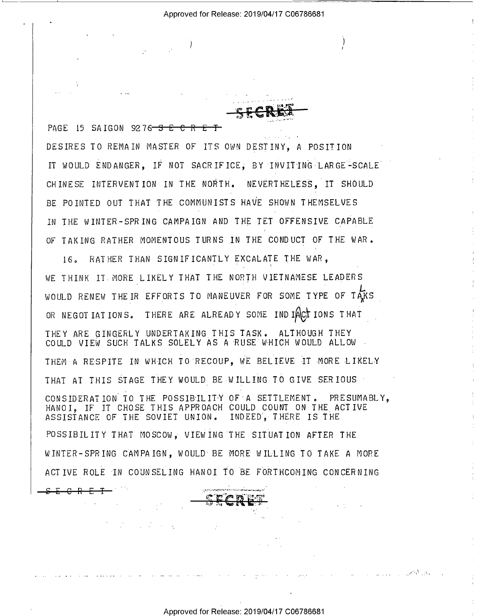' <sup>I</sup>H -I

<sup>I</sup>.

) is the contract of the contract of the contract of the contract of the contract of the contract of the contract of the contract of the contract of the contract of the contract of the contract of the contract of the cont

,,

' .'il\_\_ '

. '2.' A.'  $\mathbf{r} \in \mathbb{R}$  , where  $\mathbf{r}$  $\mathcal{D} \subseteq \mathcal{P}$  as a  $\mathcal{P}$  - and  $\mathcal{P}$  -

PAGE 15 SAIGON 9276 S E C R E T DESIRES TO REMAIN MASTER OF ITS OWN DESTINY, A POSITION IT WOULD ENDANGER. IF NOT SACRIFICE. BY INVITING LARGE-SCALE CHINESE INTERVENTION IN THE NORTH. NEVERTHELESS. IT SHOULD BE POINTED OUT THAT THE COMMUNISTS HAVE SHOWN THEMSELVES IN THE WINTER-SPRING CAMPAIGN AND THE TET OFFENSIVE CAPABLE OF TAKING RATHER MOMENTOUS TURNS IN THE CONDUCT OF THE WAR.

16, RATHER THAN SIGNIFICANTLY EXCALATE THE WAR, WE THINK IT MORE LIKELY THAT THE NORTH VIETNAMESE LEADERS WOULD RENEW THEIR EFFORTS TO MANEUVER FOR SOME TYPE OF TAKS OR NEGOTIATIONS. THERE ARE ALREADY SOME INDIACTIONS THAT THEY ARE GINGERLY UNDERTAKING THIS TASK. ALTHOUGH THEY COULD VIEW SUCH TALKS SOLELY AS A RUSE WHICH WOULD ALLOW - THEM A RESPITE IN WHICH TO RECOUP, WE BELIEVE IT MORE LIKELY THAT AT THIS STAGE THEY WOULD BE WILLING TO GIVE SERIOUS CONSIDERATION TO THE POSSIBILITY OF A SETTLEMENT. PRESUMABLY, HANOI, IF IT CHOSE THIS APPROACH COULD COUNT ON THE ACTIVE ASSISTANCE OF THE SOVIET UNION. INDEED}-THERE IS THE POSSIBILITY THAT MOSCOW. VIEWING THE SITUATION AFTER THE WINTER—SPRING CAMPAIGN, WOULD BE MORE WILLING TO TAKE A MORE ACTIVE ROLE IN COUNSELING HANOI TO BE FORTHCOMING CONCERNING

-4+E-e-H-E4?-""" ~~~~WWw-~~ ' ' " ' .-\*2 ii? .

 $\mathcal{L} \rightarrow \mathcal{L} \rightarrow \mathcal{L}$  . The contract of the contract of the contract of the contract of the contract of the contract of the contract of the contract of the contract of the contract of the contract of the contract of th

" --.2"

UP 33 - 135

. .1.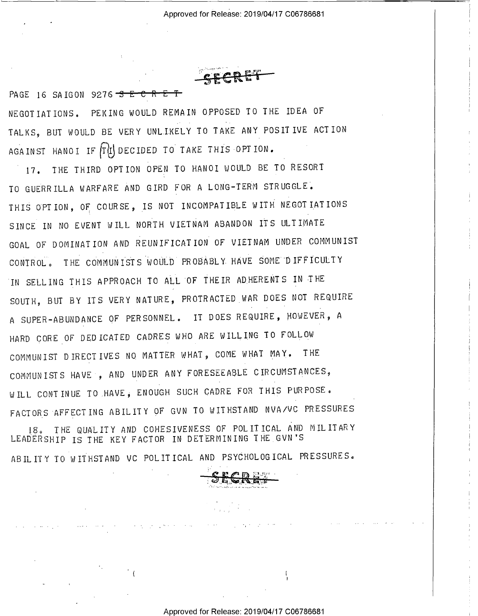PAGE 16 SAIGON 9276 3 E C R E T NEGOTIATIONS. PEKING WOULD REMAIN OPPOSED TO THE IDEA OF TALKS, BUT WOULD BE VERY UNLIKELY TO TAKE ANY POSITIVE ACTION AGAINST HANOI IF TIL DECIDED TO TAKE THIS OPTION.

THE THIRD OPTION OPEN TO HANOI WOULD BE TO RESORT  $17.$ TO GUERRILLA WARFARE AND GIRD FOR A LONG-TERM STRUGGLE. THIS OPTION, OF COURSE, IS NOT INCOMPATIBLE WITH NEGOTIATIONS SINCE IN NO EVENT WILL NORTH VIETNAM ABANDON ITS ULTIMATE GOAL OF DOMINATION AND REUNIFICATION OF VIETNAM UNDER COMMUNIST CONTROL. THE COMMUNISTS WOULD PROBABLY HAVE SOME DIFFICULTY IN SELLING THIS APPROACH TO ALL OF THEIR AD HERENTS IN THE SOUTH, BUT BY ITS VERY NATURE, PROTRACTED WAR DOES NOT REQUIRE A SUPER-ABUNDANCE OF PERSONNEL. IT DOES REQUIRE, HOWEVER, A HARD CORE OF DEDICATED CADRES WHO ARE WILLING TO FOLLOW COMMUNIST DIRECTIVES NO MATTER WHAT, COME WHAT MAY. THE COMMUNISTS HAVE , AND UNDER ANY FORESEEABLE CIRCUMSTANCES, WILL CONTINUE TO HAVE, ENOUGH SUCH CADRE FOR THIS PURPOSE. FACTORS AFFECTING ABILITY OF GVN TO WITHSTAND NVA/VC PRESSURES 18. THE QUALITY AND COHESIVENESS OF POLITICAL AND MILITARY LEADERSHIP IS THE KEY FACTOR IN DETERMINING THE GVN'S

ABIL ITY TO WITHSTAND VC POLITICAL AND PSYCHOLOGICAL PRESSURES.

Approved for Release: 2019/04/17 C06786681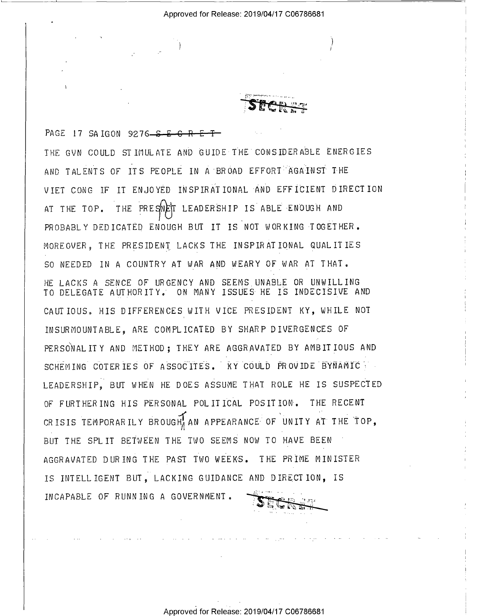T)

 $\cdot$ 

**SECRET** 

')

PAGE 17 SAIGON 9276<del>  $S-E-G-R$ </del> THE GVN COULD STIMULATE AND GUIDE THE CONSIDERABLE ENERGIES AND TALENTS OF ITS PEOPLE IN A BROAD EFFORT AGAINST THE VIET CONG IF IT ENJOYED INSPIRATIONAL AND EFFICIENT DIRECTION AT THE TOP. THE PRESNET LEADERSHIP IS ABLE ENOUGH AND PROBABLY DEDICATED ENOUGH BUT IT IS NOT WORKING TOGETHER. MOREOVER, THE PRESIDENT LACKS THE INSPIRATIONAL QUALITIES SO NEEDED IN A COUNTRY AT WAR AND WEARY OF WAR AT THAT. HE LACHS A SENCE OF URGENCY AND SEEMS UNABLE OR UNWILLING TO DELEGATE AUTHORITY.' ON MANY ISSUES HE IS INDECISIVE AND CAUTIOUS. HIS DIFFERENCES WITH VICE PRESIDENT KY, WHILE NOT INSURMOUNTABLE, ARE COMPLICATED BY SHARP DIVERGENCES OF PERSONAL ITY AND METHOD: THEY ARE AGGRAVATED BY AMBITIOUS AND SCHEMING COTERIES OF ASSOCITES. KY COULD PROVIDE BYNAMIC LEADERSHIP, BUT WHEN HE DOES ASSUME THAT ROLE HE IS SUSPECTED OF FURTHERING HIS PERSONAL POLITICAL POSITION. THE RECENT  $T = M$  DODAR IL Y PROHOUL AN A DREARANCE OF HNITTY AT TUE T CRISIS TEMPORARILY BROUGH, AN APPEARANCE OF UNITY AT THE TOP, BUT THE SPLIT BETWEEN THE TWO SEEMS NOW TO HAVE BEEN AGGRAVATED DURING THE PAST TWO WEEKS. THE PRIME MINISTER IS INTELLIGENT BUT, LACKING GUIDANCE AND DIRECTION, IS INCAPABLE OF RUNNING A GOVERNMENT.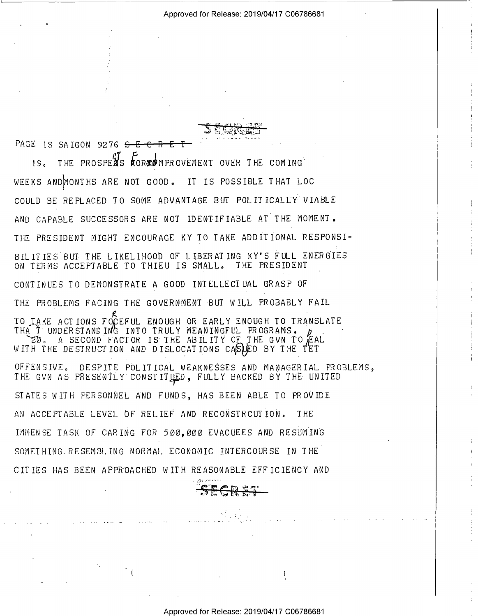${\mathfrak A} \subset {\mathfrak k}$  . It is the  ${\mathfrak a}$  $\sim$   $\sim$   $\sim$   $\sim$   $\sim$ 

PAGE 1S SAIGON 9276  $S-E$ 

L IS SAIGON 9276 <del>S E C R E T<br>19. THE PROSPEAS KOR®D</del>MPROVEMENT OVER THE COMING WEEKS ANDMONTHS ARE NOT GOOD. IT IS POSSIBLE THAT LOC COULD BE REPLACED TO SOME ADVANTAGE BUT POLITICALLY VIABLE AND CAPABLE SUCCESSORS ARE NOT IDENTIFIABLE AT THE MOMENT. THE PRESIDENT MIGHT ENCOURAGE KY TO TAKE ADDITIONAL RESPONSI-BILITIES BUT THE LIKELIHOOD OF LIBERATING KY'S FULL ENERGIES ON TERMS ACCEPTABLE TO THIEU IS SMALL. THE PRESIDENT CONTINUES TO DEMONSTRATE A GOOD INTELLECTUAL GRASP OF THE PROBLEMS FACING THE GOVERNMENT BUT WILL PROBABLY FAIL TO TAKE ACTIONS FOCEFUL ENOUGH OR EARLY ENOUGH TO TRANSLATE<br>THAT I UNDERGEAND IND INTO TRULY MEANINGEUL PROCRAMS THA T UNDERSTAND ING INTO TRULY MEANINGFUL PROGRAMS. FL . A SECOND FACTOR IS THE ABILITY OF THE GVN TO EAL WITH THE DESTRUCTION AND DISLOCATIONS CASOLD BY THE TET OFFENSIVE. DESPITE POLITICAL WEAKNESSES AND MANAGERIAL PROBLEMS, THE GVN AS PRESENTLY CONSTITUED, FULLY BACKED BY THE UNITED STATES WITH PERSONNEL AND FUNDS, HAS BEEN ABLE TO PROVIDE AN ACCEPTABLE LEVEL OF RELIEF AND RECONSTRCUTION. THE IMMENSE TASK OF CARING FOR 500,0@O EVACUEES AND RESUMING SOMETHING RESEMBLING NORMAL ECONOMIC INTERCOURSE IN THE CITIES HAS BEEN APPROACHED WITH REASONABLE EFFICIENCY AND SI-<br>
ES<br>
ES<br>
D<br>
OBLEMS,<br>
D

. 1-gs: .---='--~--

 $\mathcal{L}$  (i.e. the contract of the contract of the contract of the contract of the contract of the contract of the contract of the contract of the contract of the contract of the contract of the contract of the contract o

'

'SECRET

Approved for Release: 2019/04/17 C06786681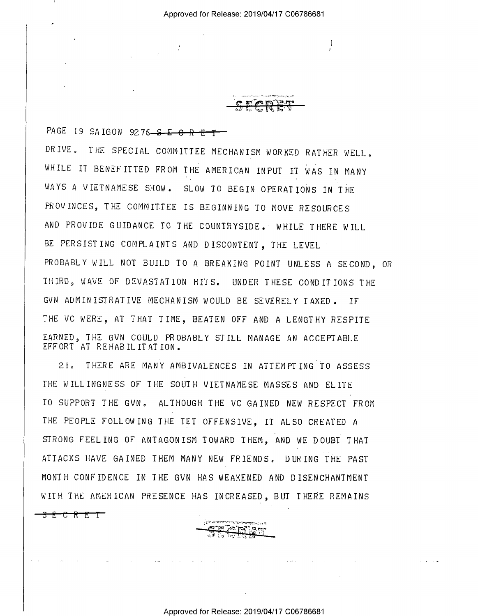I

 $\rightarrow$ 

 $\mathcal{L}^{(1)}$  and

 $T$ ,  $T$ ,  $T$ ,  $T$  $\overline{\phantom{a}}$  . Finally  $\overline{\phantom{a}}$ 

I)

PAGE 19 SAIGON 9276<del> S E C R E T</del> DRIVE. THE SPECIAL COMMITTEE MECHANISM WORKED RATHER WELL. WHILE IT BENEFITTED FROM THE AMERICAN INPUT IT WAS IN MANY WAYS A VIETNAMESE SHOW. SLOW TO BEGIN OPERATIONS IN THE PROVINCES, THE COMMITTEE IS BEGINNING TO MOVE RESOURCES AND PROVIDE GUIDANCE TO THE COUNTRYSIDE. WHILE THERE WILL BE PERSISTING COMPLAINTS AND DISCONTENT, THE LEVEL PROBABLY WILL NOT BUILD TO A BREAKING POINT UNLESS A SECOND, OR THIRD, WAVE OF DEVASTATION HITS. UNDER THESE CONDITIONS THE GVN ADMINISTRATIVE MECHANISM WOULD BE SEVERELY TAXED. IF THE VC WERE, AT THAT TIME, BEATEN OFF AND A LENGTHY RESPITE EARNED, THE GVN COULD PROBABLY STILL MANAGE AN ACCEPTABLE EFFORT AT REHABILITATION.

Zia THERE ARE MANY AMBIVALENCES IN ATTEMPTING TO ASSESS THE WILLINGNESS OF THE SOUTH VIETNAMESE MASSES AND ELITE TO SUPPORT THE GVN. ALTHOUGH THE VC GAINED NEW RESPECT FROM THE PEOPLE FOLLOWING THE TET OFFENSIVE, IT ALSO CREATED <sup>A</sup> STRONG FEELING OF ANTAGONISM TOWARD THEM, AND WE DOUBT THAT ATTACKS HAVE GAINED THEM MANY NEW FRIENDS. DURING THE PAST MONTH CONFIDENCE IN THE GVN HAS WEAKENED AND DISENCHANTMENT WITH THE AMERICAN PRESENCE HAS INCREASED, BUT THERE REMAINS

//,.5I'.1d':\"-'-\*-171:":-11v<\--.\_, Tn.

,~-.=. .. ,. - =-1 '  $\cdot$  ,  $\cdot$  ,  $\cdot$   $\cdot$   $\cdot$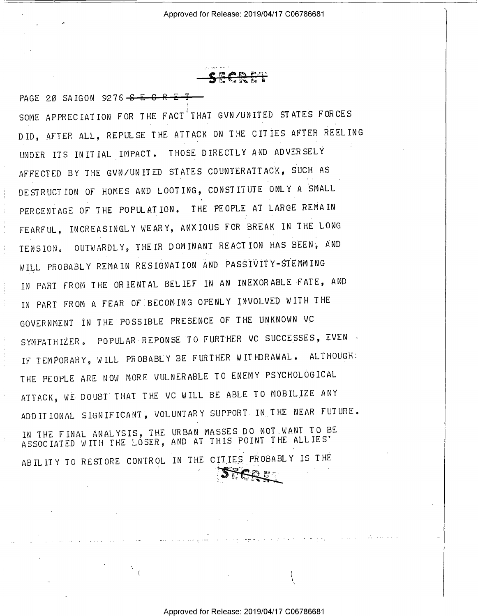<u>r e</u>  $1.1\%$ **3 E E IS E I** 

PAGE 20 SAIGON 9276-S-E-C-R-E-T SOME APPRECIATION FOR THE FACT<sup>A</sup>THAT GVN/UNITED STATES FORCES DID, AFTER ALL, REPULSE THE ATTACK ON THE CITIES AFTER REELING UNDER ITS INITIAL IMPACT. THOSE DIRECTLY AND ADVERSELY AFFECTED BY THE GVN/UNITED STATES COUNTERATTACK, SUCH AS DESTRUCTION OF HOMES AND LOOTING, CONSTITUTE ONLY A SMALL PERCENTAGE OF THE POPULATION. THE PEOPLE AT LARGE REMAIN FEARFUL, INCREASINGLY WEARY, ANXIOUS FOR BREAK IN THE LONG TENSION. OUTWARDLY, THEIR DOMINANT REACTION HAS BEEN; AND WILL PROBABLY REMAIN RESIGNATION AND PASSIVITY-STEMMING IN PART FROM THE ORIENTAL BELIEF IN AN INEXORABLE-FATE, AND IN PART FROM A FEAR OF BECOMING OPENLY INVOLVED WITH THE GOVERNMENT IN THE POSSIBLE PRESENCE OF THE UNKNOWN VC SYMPATHIZER. POPULAR REPONSE TO FURTHER VC SUCCESSES, EVEN IF TEMPORARY, WILL PROBABLY BE FURTHER WITHDRAWAL. ALTHOUGH: THE PEOPLE ARE NOW MORE VULNERABLE TO ENEMY PSYCHOLOGICAL ATTACK, NE DOUBT THAT THE VC WILL BE ABLE TO MOBILIZE ANY ADD IT IONAL SIGN IF ICANT, VOLUNTARY SUPPORT IN THE NEAR FUTURE. IN THE FINAL ANALYSIS, THE URBAN MASSES DO NOT WANT TO BE ASSOCIATED WITH THE LÓSER, AND AT THIS POINT THE ALLIES' ABILITY TO RESTORE CONTROL IN THE CITIES PROBABLY IS THE 4 .

T

 $\mathcal{L} = \mathcal{L} \mathcal{L} \mathcal{L} \mathcal{L} \mathcal{L} \mathcal{L} \mathcal{L} \mathcal{L} \mathcal{L} \mathcal{L} \mathcal{L} \mathcal{L} \mathcal{L} \mathcal{L} \mathcal{L} \mathcal{L} \mathcal{L} \mathcal{L} \mathcal{L} \mathcal{L} \mathcal{L} \mathcal{L} \mathcal{L} \mathcal{L} \mathcal{L} \mathcal{L} \mathcal{L} \mathcal{L} \mathcal{L} \mathcal{L} \mathcal{L} \mathcal{L} \mathcal{L} \mathcal{L} \mathcal{L} \mathcal$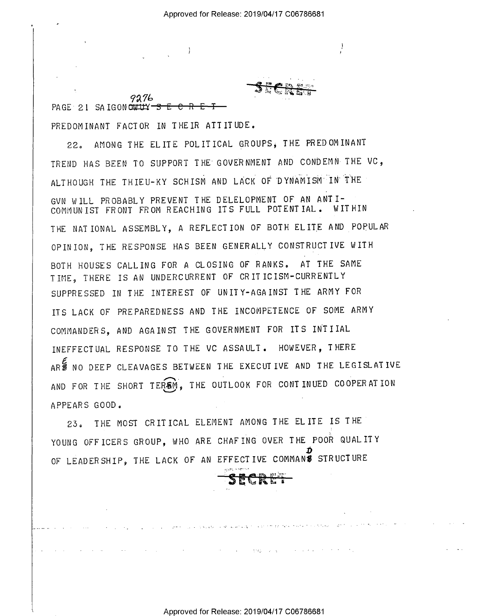$\overline{1}$  , the contract of the contract of the contract of the contract of the contract of the contract of the contract of the contract of the contract of the contract of the contract of the contract of the contract of th

9276 PAGE 21 SAIGONOUTLY  $-$ S-E

PREDOMINANT FACTOR IN THEIR ATTITUDE.

22. AMONG THE ELITE POLITICAL GROUPS, THE PREDOMINANT TREND HAS BEEN TO SUPPORT THE GOVERNMENT AND CONDEMN THE VC, ALTHOUGH THE THIEU-KY SCHISM AND LACK OF DYNAMISM IN THE GVN WILL PROBABLY PREVENT THE DELELOPMENT OF AN ANTI-COMMUNIST FRONT FROM REACHING ITS FULL POTENTIAL. WITHIN THE NATIONAL ASSEMBLY, A REFLECTION OF BOTH ELITE AND POPULAR OPINION, THE RESPONSE HAS BEEN GENERALLY CONSTRUCTIVE WITH BOTH HOUSES CALLING FOR A CLOSING OF RANKS. AT THE SAME TIME, THERE IS AN UNDERCURRENT OF CRITICISM-CURRENTLY SUPPRESSED IN THE INTEREST OF UNITY-AGAINST THE ARMY FOR ITS LACK OF PREPAREDNESS AND THE INCOMPETENCE OF SOME ARMY COMMANDERS, AND AGAINST THE GOVERNMENT FOR ITS INTIIAL INEFFECTUAL RESPONSE TO THE VC ASSAULT. HOWEVER, THERE ARS NO DEEP CLEAVAGES BETWEEN THE EXECUTIVE AND THE LEGISLATIVE AND FOR THE SHORT TERSM, THE OUTLOOK FOR CONTINUED COOPERATION APPEARS GOOD.

23. THE MOST CRITICAL ELEMENT AMONG THE ELITE IS THE YOUNG OFFICERS GROUP, WHO ARE CHAFING OVER THE POOR QUALITY  $\frac{\mathbf{D}}{\mathbf{A}}$ OF LEADERSHIP, THE LACK OF AN EFFECTIVE COMMANS STRUCIURE

3- - yn:\_"\_.-:.-.-- <sup>I</sup>

<del>e</del> event en e

**Contract Carlos**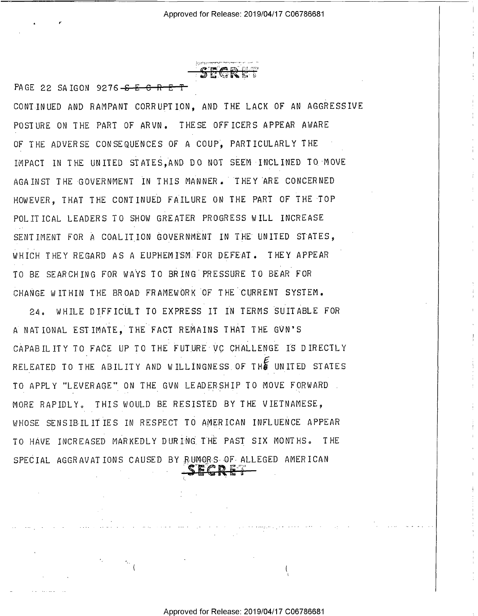$\mathcal{G}_\mathcal{L}$  ,  $\mathcal{G}_\mathcal{L}$  are comparing the proof of the following contains to the second contains of the second contains of the second contains of the second contains of the second contains of the second contains o - Q." f"- '\_-';:\_.-221::

PAGE 22 SAIGON 9276 $-$ <del>S E C R E T</del>

CONTINUED AND RAMPANT CORRUPTION, AND THE LACK OF AN AGGRESSIVE POSTURE ON THE PART OF ARVN. THESE OFFICERS APPEAR AWARE OF THE ADVERSE CONSEQUENCES OF A COUP. PARTICULARLY THE IMPACT IN THE UNITED STATES,AND DO NOT SEEM INCLINED TO MOVE AGAINST THE GOVERNMENT IN THIS MANNER. "THEY ARE CONCERNED HOWEVER, THAT THE CONTINUED FAILURE ON THE PART OF THE TOP POLITICAL LEADERS TO SHOW GREATER PROGRESS WILL INCREASE SENTIMENT FOR A COALITION GOVERNMENT IN THE UNITED STATES, WHICH THEY REGARD AS A EUPHEMISM FOR DEFEAT. THEY APPEAR TO BE SEARCHING FOR WAYS T0 BRING PRESSURE T0 BEAR FOR CHANGE WITHIN THE BROAD FRAMEWORK OF THE CURRENT SYSTEM.

24° WHILE DIFFICULT TO EXPRESS IT IN TERMS SUITABLE FOR <sup>A</sup>NATIONAL ESTIMATE, THE FACT REMAINS THAT THE GVN'S CAPABILITY TO FACE UP Io THE FUTURE VG CHALLENGE IS DIRECTLY RELEATED TO THE ABILITY AND WILLINGNESS OF THE UNITED STATES TO APPLY "LEVERAGE" ON THE GVN LEADERSHIP TO MOVE FORWARD . MORE RAPIDLY, THIS WOULD BE RESISTED BY THE VIETNAMESE, WHOSE SENSIBILITIES IN RESPECT TO AMERICAN INFLUENCE APPEAR TO HAVE INCREASED MARKEDLY DURING THE PAST SIX MONTHS. THE SPECIAL AGGRAVATIONS CAUSED BY RUMORS OF ALLEGED AMERICAN

¢

 $\frac{1}{2}$  is the state of  $\frac{1}{2}$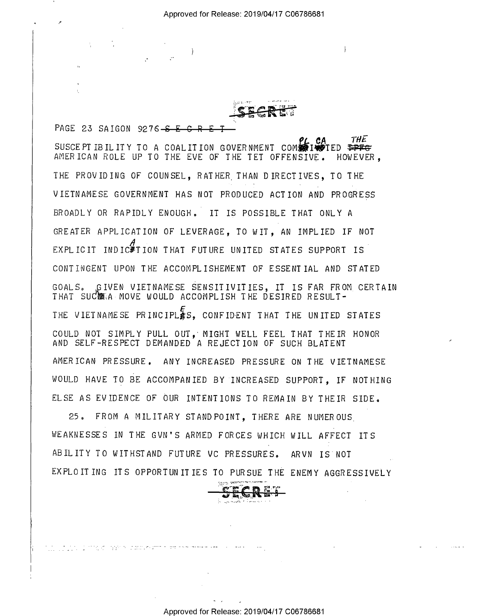PAGE 23 SAIGON 9276 - S E C **THE** SUSCEPT IBILITY TO A COALITION GOVERNMENT COM FONT OF THE AMERICAN ROLE UP TO THE EVE OF THE TET OFFENSIVE. HOWEVER. THE PROVIDING OF COUNSEL. RATHER THAN DIRECTIVES. TO THE VIETNAMESE GOVERNMENT HAS NOT PRODUCED ACTION AND PROGRESS BROADLY OR RAPIDLY ENOUGH. IT IS POSSIBLE THAT ONLY A GREATER APPLICATION OF LEVERAGE. TO WIT. AN IMPLIED IF NOT EXPLICIT INDIC#TION THAT FUTURE UNITED STATES SUPPORT IS CONTINGENT UPON THE ACCOMPLISHEMENT OF ESSENTIAL AND STATED GOALS. GIVEN VIETNAMESE SENSITIVITIES, IT IS FAR FROM CERTAIN THAT SUCTRA MOVE WOULD ACCOMPLISH THE DESIRED RESULT-THE VIETNAME SE PRINCIPLES. CONFIDENT THAT THE UNITED STATES COULD NOT SIMPLY PULL OUT, MIGHT WELL FEEL THAT THEIR HONOR AND SELF-RESPECT DEMANDED A REJECTION OF SUCH BLATENT AMERICAN PRESSURE. ANY INCREASED PRESSURE ON THE VIETNAMESE WOULD HAVE TO BE ACCOMPANIED BY INCREASED SUPPORT. IF NOTHING ELSE AS EVIDENCE OF OUR INTENTIONS TO REMAIN BY THEIR SIDE.

 $25<sub>o</sub>$ FROM A MILITARY STAND POINT, THERE ARE NUMEROUS WEAKNESSES IN THE GUN'S ARMED FORCES WHICH WILL AFFECT ITS ABILITY TO WITHSTAND FUTURE VC PRESSURES, ARVN IS NOT EXPLOITING ITS OPPORTUNITIES TO PURSUE THE ENEMY AGGRESSIVELY

<u>de estados a crita sobre transmento en entre e</u>